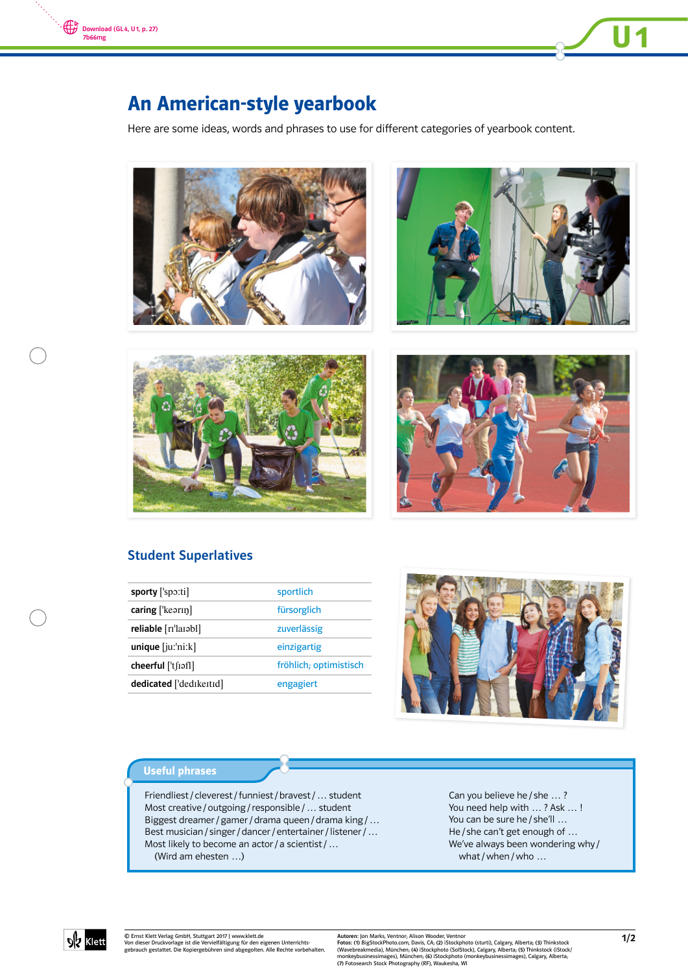



Here are some ideas, words and phrases to use for different categories of yearbook content.





**U1** 





## Student Superlatives

| sporty ['spo:ti]                | sportlich              |
|---------------------------------|------------------------|
| $\text{caring}$ ['kearin]       | fürsorglich            |
| reliable [ri'larabl]            | zuverlässig            |
| $unique$ [ $ju$ : $'ni$ : $k$ ] | einzigartig            |
| $cheerful$ ['t [iof]]           | fröhlich; optimistisch |
| dedicated ['dedikeitid]         | engagiert              |
|                                 |                        |



#### Useful phrases

Friendliest / cleverest / funniest / bravest / … student Most creative / outgoing / responsible / … student Biggest dreamer / gamer / drama queen / drama king / … Best musician / singer / dancer / entertainer / listener / … Most likely to become an actor / a scientist / ... (Wird am ehesten …)

Can you believe he / she … ? You need help with … ? Ask … ! You can be sure he / she'll ... He / she can't get enough of … We've always been wondering why / what / when / who ...



© Ernst Klett Verlag GmbH, Stuttgart 2017 | www.klett.de Von dieser Druckvorlage ist die Vervielfältigung für den eigenen Unterrichts-gebrauch gestattet. Die Kopiergebühren sind abgegolten. Alle Rechte vorbehalten.

Autoren: Jon Marks, Ventnor, Alison Wooder, Ventnor<br>Fotos: (1) BigStockPhoto.com, Davis, CA; (2) iStockphoto (sturti), Calgary, Alberta; (3) Thinkstock<br>(Wavebreakmedia), München; (4) iStockphoto (SolStock), Calgary, Albert